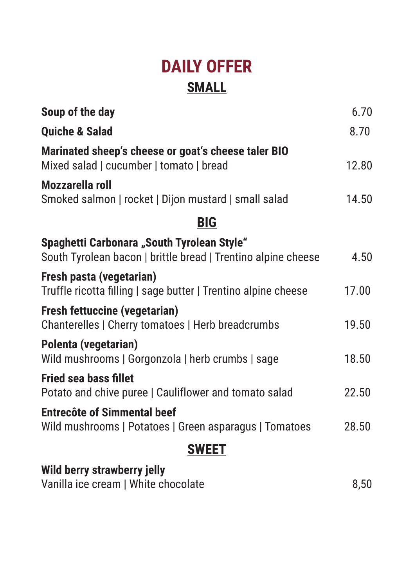## **DAILY OFFER SMALL**

| Soup of the day                                                                                             | 6.70  |
|-------------------------------------------------------------------------------------------------------------|-------|
| <b>Quiche &amp; Salad</b>                                                                                   | 8.70  |
| Marinated sheep's cheese or goat's cheese taler BIO<br>Mixed salad   cucumber   tomato   bread              | 12.80 |
| Mozzarella roll<br>Smoked salmon   rocket   Dijon mustard   small salad                                     | 14.50 |
| <b>BIG</b>                                                                                                  |       |
| Spaghetti Carbonara "South Tyrolean Style"<br>South Tyrolean bacon   brittle bread   Trentino alpine cheese | 4.50  |
| Fresh pasta (vegetarian)<br>Truffle ricotta filling   sage butter   Trentino alpine cheese                  | 17.00 |
| <b>Fresh fettuccine (vegetarian)</b><br>Chanterelles   Cherry tomatoes   Herb breadcrumbs                   | 19.50 |
| Polenta (vegetarian)<br>Wild mushrooms   Gorgonzola   herb crumbs   sage                                    | 18.50 |
| <b>Fried sea bass fillet</b><br>Potato and chive puree   Cauliflower and tomato salad                       | 22.50 |
| <b>Entrecôte of Simmental beef</b><br>Wild mushrooms   Potatoes   Green asparagus   Tomatoes                | 28.50 |
| <b>SWEET</b>                                                                                                |       |
| Wild berry strawberry jelly                                                                                 |       |

Vanilla ice cream | White chocolate 6,50